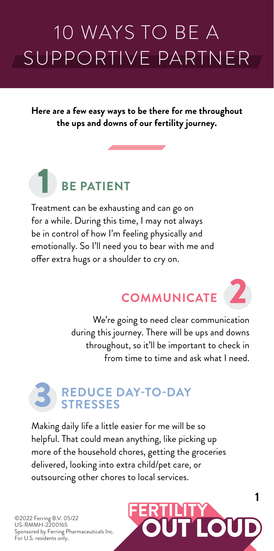# 10 WAYS TO BE A SUPPORTIVE PARTNER

**Here are a few easy ways to be there for me throughout the ups and downs of our fertility journey.** 



Treatment can be exhausting and can go on for a while. During this time, I may not always be in control of how I'm feeling physically and emotionally. So I'll need you to bear with me and offer extra hugs or a shoulder to cry on.

# **COMMUNICATE**

**1**

2

We're going to need clear communication during this journey. There will be ups and downs throughout, so it'll be important to check in from time to time and ask what I need.

#### **REDUCE DAY-TO-DAY STRESSES** 3

Making daily life a little easier for me will be so helpful. That could mean anything, like picking up more of the household chores, getting the groceries delivered, looking into extra child/pet care, or outsourcing other chores to local services.

©2022 Ferring B.V. 05/22 US-RMMH-2200165 Sponsored by Ferring Pharmaceuticals Inc. For U.S. residents only.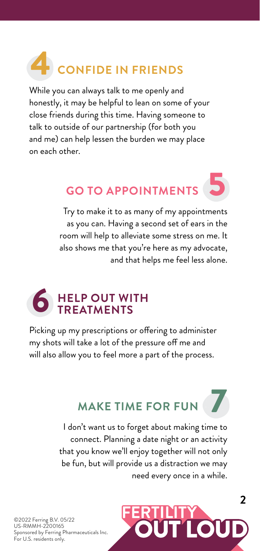## **CONFIDE IN FRIENDS** 4

While you can always talk to me openly and honestly, it may be helpful to lean on some of your close friends during this time. Having someone to talk to outside of our partnership (for both you and me) can help lessen the burden we may place on each other.

## **GO TO APPOINTMENTS** 5

Try to make it to as many of my appointments as you can. Having a second set of ears in the room will help to alleviate some stress on me. It also shows me that you're here as my advocate, and that helps me feel less alone.

#### **HELP OUT WITH TREATMENTS** 6

Picking up my prescriptions or offering to administer my shots will take a lot of the pressure off me and will also allow you to feel more a part of the process.

### **MAKE TIME FOR FUN**

I don't want us to forget about making time to connect. Planning a date night or an activity that you know we'll enjoy together will not only be fun, but will provide us a distraction we may need every once in a while.



7

©2022 Ferring B.V. 05/22 US-RMMH-2200165 Sponsored by Ferring Pharmaceuticals Inc. For U.S. residents only.